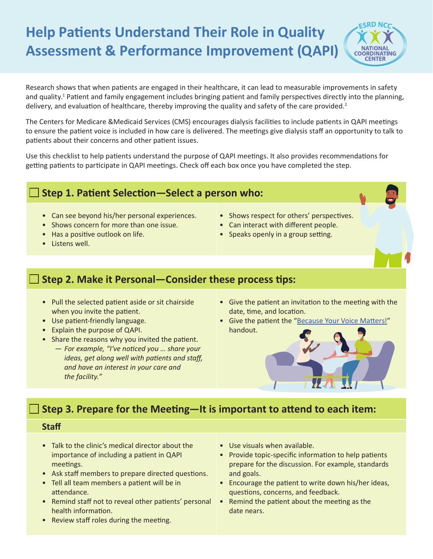# **Help Patients Understand Their Role in Quality Assessment & Performance Improvement (QAPI)**



Research shows that when patients are engaged in their healthcare, it can lead to measurable improvements in safety and quality.<sup>1</sup> Patient and family engagement includes bringing patient and family perspectives directly into the planning, delivery, and evaluation of healthcare, thereby improving the quality and safety of the care provided.<sup>2</sup>

The Centers for Medicare &Medicaid Services (CMS) encourages dialysis facilities to include patients in QAPI meetings to ensure the patient voice is included in how care is delivered. The meetings give dialysis staff an opportunity to talk to patients about their concerns and other patient issues.

Use this checklist to help patients understand the purpose of QAPI meetings. It also provides recommendations for getting patients to participate in QAPI meetings. Check off each box once you have completed the step.

### **Step 1. Patient Selection—Select a person who:**

- Can see beyond his/her personal experiences.
- Shows concern for more than one issue.
- Has a positive outlook on life.
- Listens well.
- Shows respect for others' perspectives.
- Can interact with different people.
- Speaks openly in a group setting.

# **Step 2. Make it Personal—Consider these process tips:**

- Pull the selected patient aside or sit chairside when you invite the patient.
- Use patient-friendly language.
- Explain the purpose of QAPI.
- Share the reasons why you invited the patient.
	- *— For example, "I've noticed you … share your ideas, get along well with patients and staff, and have an interest in your care and the facility."*
- Give the patient an invitation to the meeting with the date, time, and location.
- Give the patient the ["Because Your Voice Matters!](https://esrdncc.org/globalassets/patients/qapimeetingprep508.pdf)" handout.



## **Step 3. Prepare for the Meeting—It is important to attend to each item:**

### **Staff**

- Talk to the clinic's medical director about the importance of including a patient in QAPI meetings.
- Ask staff members to prepare directed questions.
- Tell all team members a patient will be in attendance.
- Remind staff not to reveal other patients' personal health information.
- Review staff roles during the meeting.
- Use visuals when available.
- Provide topic-specific information to help patients prepare for the discussion. For example, standards and goals.
- Encourage the patient to write down his/her ideas, questions, concerns, and feedback.
- Remind the patient about the meeting as the date nears.